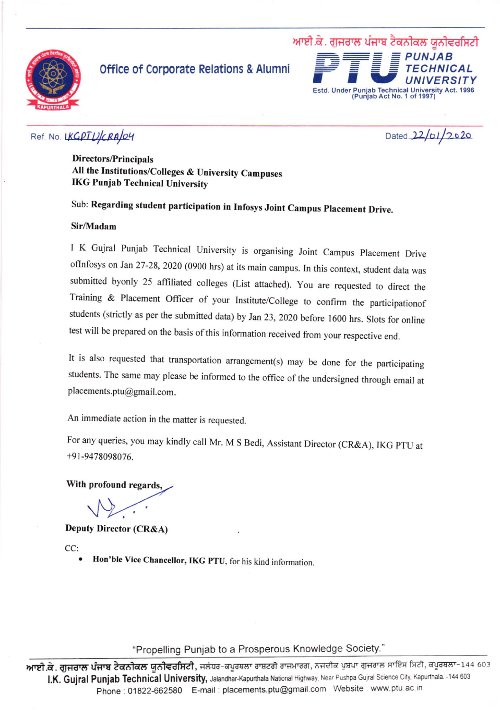

## office of Corporate Relations & Alumni



### Ref. No. LKGPTUCRAO4

Dated 22/01/2020

Directors/Principals All the Institutions/Colleges & University Campuses IKG Punjab Technical University

# Sub: Regarding student participation in Infosys Joint Campus placement Drive.

#### Sir/Madam

I K Gujral Punjab Technical University is organising Joint Campus Placement Drive oflnfosys on Jan 27-28,2020 (0900 hrs) at its main campus. In this context, student data was submitted byonly 25 affiliated colleges (List attached). You are requested to direct the Training & Placement Officer of your Institute/College to confirm the participationof students (strictly as per the submitted data) by Jan 23, 2020 before 1600 hrs. Slots for online test will be prepared on the basis of this information received from your respective end.

It is also requested that transportation arrangement(s) may be done for the participating students. The same may please be informed to the office of the undersigned through email at placements.ptu@gmail.com.

An immediate action in the mafter is requested.

For any queries, you may kindly call Mr. M S Bedi, Assistant Director (CR&A), IKG pTU at +9t-9478098076.

With profound regards,

Deputy Director (CR&A)

CC:

Hon'ble Vice Chancellor, IKG PTU, for his kind information.

"Propelling Punjab to a Prosperous Knowledge Society.''

**ਆਈ.ਕੇ. ਗੁਜਰਾਲ ਪੰਜਾਬ ਟੈਕਨੀਕਲ ਯੂਨੀਵਰਸਿਟੀ**, ਜਲੰਧਰ-ਕਪੂਰਥਲਾ ਰਾਸ਼ਟਰੀ ਰਾਜਮਾਰਗ, ਨਜਦੀਕ ਪੁਸ਼ਪਾ ਗੁਜਰਾਲ ਸਾਇੰਸ ਸਿਟੀ, ਕਪੂਰਥਲਾ-144 603 I.K. Gujral Punjab Technical University, Jalandhar-Kapurthala National Highway, Near Pushpa Gujral Science City. Kapurthala. -144 603 Phone: 01822-662580 E-mail: placements.ptu@gmail.com Website: www.ptu.ac.in